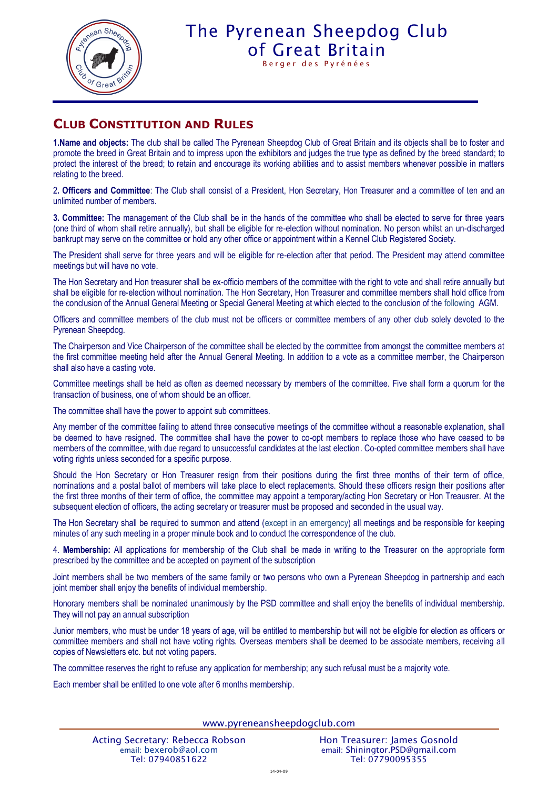

## The Pyrenean Sheepdog Club [of Great Britain](http://www.pyreneansheepdog.co.uk/index.htm)

Berger des Pyrénées

### **CLUB CONSTITUTION AND RULES**

**1.Name and objects:** The club shall be called The Pyrenean Sheepdog Club of Great Britain and its objects shall be to foster and promote the breed in Great Britain and to impress upon the exhibitors and judges the true type as defined by the breed standard; to protect the interest of the breed; to retain and encourage its working abilities and to assist members whenever possible in matters relating to the breed.

2**. Officers and Committee**: The Club shall consist of a President, Hon Secretary, Hon Treasurer and a committee of ten and an unlimited number of members.

**3. Committee:** The management of the Club shall be in the hands of the committee who shall be elected to serve for three years (one third of whom shall retire annually), but shall be eligible for re-election without nomination. No person whilst an un-discharged bankrupt may serve on the committee or hold any other office or appointment within a Kennel Club Registered Society.

The President shall serve for three years and will be eligible for re-election after that period. The President may attend committee meetings but will have no vote.

The Hon Secretary and Hon treasurer shall be ex-officio members of the committee with the right to vote and shall retire annually but shall be eligible for re-election without nomination. The Hon Secretary, Hon Treasurer and committee members shall hold office from the conclusion of the Annual General Meeting or Special General Meeting at which elected to the conclusion of the following AGM.

Officers and committee members of the club must not be officers or committee members of any other club solely devoted to the Pyrenean Sheepdog.

The Chairperson and Vice Chairperson of the committee shall be elected by the committee from amongst the committee members at the first committee meeting held after the Annual General Meeting. In addition to a vote as a committee member, the Chairperson shall also have a casting vote.

Committee meetings shall be held as often as deemed necessary by members of the committee. Five shall form a quorum for the transaction of business, one of whom should be an officer.

The committee shall have the power to appoint sub committees.

Any member of the committee failing to attend three consecutive meetings of the committee without a reasonable explanation, shall be deemed to have resigned. The committee shall have the power to co-opt members to replace those who have ceased to be members of the committee, with due regard to unsuccessful candidates at the last election. Co-opted committee members shall have voting rights unless seconded for a specific purpose.

Should the Hon Secretary or Hon Treasurer resign from their positions during the first three months of their term of office, nominations and a postal ballot of members will take place to elect replacements. Should these officers resign their positions after the first three months of their term of office, the committee may appoint a temporary/acting Hon Secretary or Hon Treausrer. At the subsequent election of officers, the acting secretary or treasurer must be proposed and seconded in the usual way.

The Hon Secretary shall be required to summon and attend (except in an emergency) all meetings and be responsible for keeping minutes of any such meeting in a proper minute book and to conduct the correspondence of the club.

4. **Membership:** All applications for membership of the Club shall be made in writing to the Treasurer on the appropriate form prescribed by the committee and be accepted on payment of the subscription

Joint members shall be two members of the same family or two persons who own a Pyrenean Sheepdog in partnership and each joint member shall enjoy the benefits of individual membership.

Honorary members shall be nominated unanimously by the PSD committee and shall enjoy the benefits of individual membership. They will not pay an annual subscription

Junior members, who must be under 18 years of age, will be entitled to membership but will not be eligible for election as officers or committee members and shall not have voting rights. Overseas members shall be deemed to be associate members, receiving all copies of Newsletters etc. but not voting papers.

The committee reserves the right to refuse any application for membership; any such refusal must be a majority vote.

Each member shall be entitled to one vote after 6 months membership.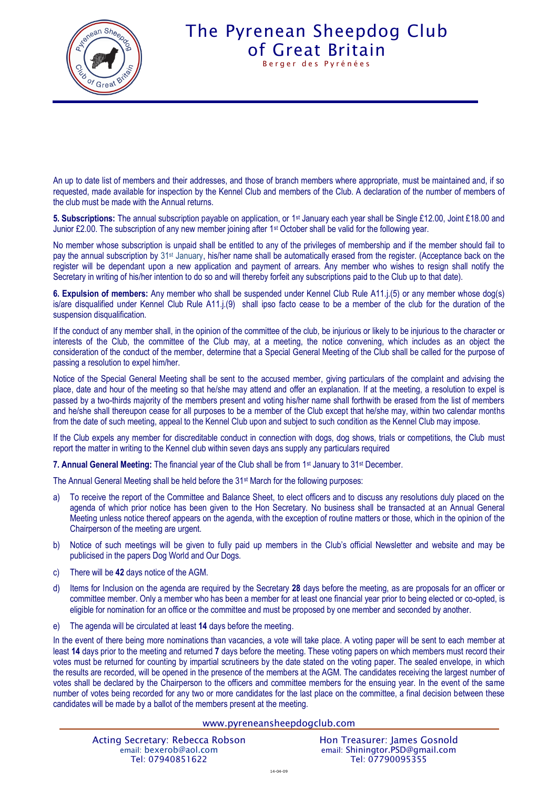

## The Pyrenean Sheepdog Club [of Great Britain](http://www.pyreneansheepdog.co.uk/index.htm) Berger des Pyrénées

An up to date list of members and their addresses, and those of branch members where appropriate, must be maintained and, if so requested, made available for inspection by the Kennel Club and members of the Club. A declaration of the number of members of the club must be made with the Annual returns.

**5. Subscriptions:** The annual subscription payable on application, or 1st January each year shall be Single £12.00, Joint £18.00 and Junior £2.00. The subscription of any new member joining after 1<sup>st</sup> October shall be valid for the following year.

No member whose subscription is unpaid shall be entitled to any of the privileges of membership and if the member should fail to pay the annual subscription by 31<sup>st</sup> January, his/her name shall be automatically erased from the register. (Acceptance back on the register will be dependant upon a new application and payment of arrears. Any member who wishes to resign shall notify the Secretary in writing of his/her intention to do so and will thereby forfeit any subscriptions paid to the Club up to that date).

**6. Expulsion of members:** Any member who shall be suspended under Kennel Club Rule A11.j.(5) or any member whose dog(s) is/are disqualified under Kennel Club Rule A11.j.(9) shall ipso facto cease to be a member of the club for the duration of the suspension disqualification.

If the conduct of any member shall, in the opinion of the committee of the club, be injurious or likely to be injurious to the character or interests of the Club, the committee of the Club may, at a meeting, the notice convening, which includes as an object the consideration of the conduct of the member, determine that a Special General Meeting of the Club shall be called for the purpose of passing a resolution to expel him/her.

Notice of the Special General Meeting shall be sent to the accused member, giving particulars of the complaint and advising the place, date and hour of the meeting so that he/she may attend and offer an explanation. If at the meeting, a resolution to expel is passed by a two-thirds majority of the members present and voting his/her name shall forthwith be erased from the list of members and he/she shall thereupon cease for all purposes to be a member of the Club except that he/she may, within two calendar months from the date of such meeting, appeal to the Kennel Club upon and subject to such condition as the Kennel Club may impose.

If the Club expels any member for discreditable conduct in connection with dogs, dog shows, trials or competitions, the Club must report the matter in writing to the Kennel club within seven days ans supply any particulars required

**7. Annual General Meeting:** The financial year of the Club shall be from 1st January to 31st December.

The Annual General Meeting shall be held before the 31st March for the following purposes:

- a) To receive the report of the Committee and Balance Sheet, to elect officers and to discuss any resolutions duly placed on the agenda of which prior notice has been given to the Hon Secretary. No business shall be transacted at an Annual General Meeting unless notice thereof appears on the agenda, with the exception of routine matters or those, which in the opinion of the Chairperson of the meeting are urgent.
- b) Notice of such meetings will be given to fully paid up members in the Club's official Newsletter and website and may be publicised in the papers Dog World and Our Dogs.
- c) There will be **42** days notice of the AGM.
- d) Items for Inclusion on the agenda are required by the Secretary **28** days before the meeting, as are proposals for an officer or committee member. Only a member who has been a member for at least one financial year prior to being elected or co-opted, is eligible for nomination for an office or the committee and must be proposed by one member and seconded by another.
- e) The agenda will be circulated at least **14** days before the meeting.

In the event of there being more nominations than vacancies, a vote will take place. A voting paper will be sent to each member at least **14** days prior to the meeting and returned **7** days before the meeting. These voting papers on which members must record their votes must be returned for counting by impartial scrutineers by the date stated on the voting paper. The sealed envelope, in which the results are recorded, will be opened in the presence of the members at the AGM. The candidates receiving the largest number of votes shall be declared by the Chairperson to the officers and committee members for the ensuing year. In the event of the same number of votes being recorded for any two or more candidates for the last place on the committee, a final decision between these candidates will be made by a ballot of the members present at the meeting.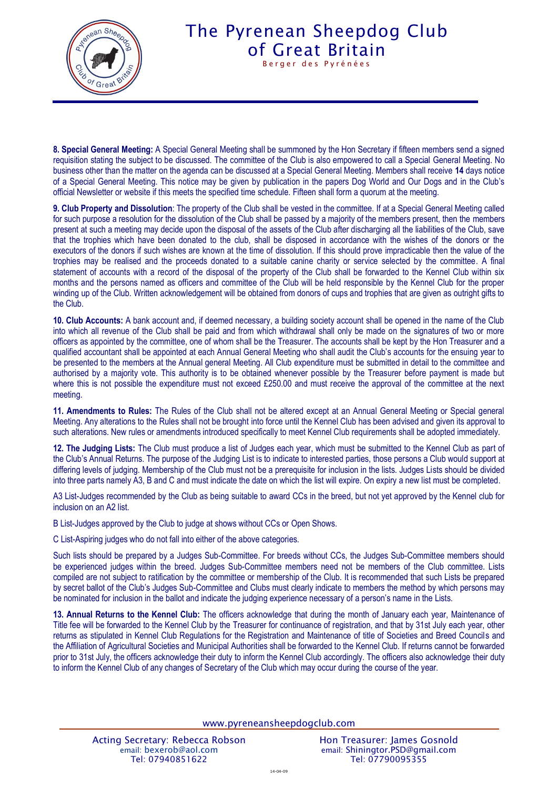

# The Pyrenean Sheepdog Club [of Great Britain](http://www.pyreneansheepdog.co.uk/index.htm)

Berger des Pyrénées

**8. Special General Meeting:** A Special General Meeting shall be summoned by the Hon Secretary if fifteen members send a signed requisition stating the subject to be discussed. The committee of the Club is also empowered to call a Special General Meeting. No business other than the matter on the agenda can be discussed at a Special General Meeting. Members shall receive **14** days notice of a Special General Meeting. This notice may be given by publication in the papers Dog World and Our Dogs and in the Club's official Newsletter or website if this meets the specified time schedule. Fifteen shall form a quorum at the meeting.

**9. Club Property and Dissolution**: The property of the Club shall be vested in the committee. If at a Special General Meeting called for such purpose a resolution for the dissolution of the Club shall be passed by a majority of the members present, then the members present at such a meeting may decide upon the disposal of the assets of the Club after discharging all the liabilities of the Club, save that the trophies which have been donated to the club, shall be disposed in accordance with the wishes of the donors or the executors of the donors if such wishes are known at the time of dissolution. If this should prove impracticable then the value of the trophies may be realised and the proceeds donated to a suitable canine charity or service selected by the committee. A final statement of accounts with a record of the disposal of the property of the Club shall be forwarded to the Kennel Club within six months and the persons named as officers and committee of the Club will be held responsible by the Kennel Club for the proper winding up of the Club. Written acknowledgement will be obtained from donors of cups and trophies that are given as outright gifts to the Club.

**10. Club Accounts:** A bank account and, if deemed necessary, a building society account shall be opened in the name of the Club into which all revenue of the Club shall be paid and from which withdrawal shall only be made on the signatures of two or more officers as appointed by the committee, one of whom shall be the Treasurer. The accounts shall be kept by the Hon Treasurer and a qualified accountant shall be appointed at each Annual General Meeting who shall audit the Club's accounts for the ensuing year to be presented to the members at the Annual general Meeting. All Club expenditure must be submitted in detail to the committee and authorised by a majority vote. This authority is to be obtained whenever possible by the Treasurer before payment is made but where this is not possible the expenditure must not exceed £250.00 and must receive the approval of the committee at the next meeting.

**11. Amendments to Rules:** The Rules of the Club shall not be altered except at an Annual General Meeting or Special general Meeting. Any alterations to the Rules shall not be brought into force until the Kennel Club has been advised and given its approval to such alterations. New rules or amendments introduced specifically to meet Kennel Club requirements shall be adopted immediately.

**12. The Judging Lists:** The Club must produce a list of Judges each year, which must be submitted to the Kennel Club as part of the Club's Annual Returns. The purpose of the Judging List is to indicate to interested parties, those persons a Club would support at differing levels of judging. Membership of the Club must not be a prerequisite for inclusion in the lists. Judges Lists should be divided into three parts namely A3, B and C and must indicate the date on which the list will expire. On expiry a new list must be completed.

A3 List-Judges recommended by the Club as being suitable to award CCs in the breed, but not yet approved by the Kennel club for inclusion on an A2 list.

B List-Judges approved by the Club to judge at shows without CCs or Open Shows.

C List-Aspiring judges who do not fall into either of the above categories.

Such lists should be prepared by a Judges Sub-Committee. For breeds without CCs, the Judges Sub-Committee members should be experienced judges within the breed. Judges Sub-Committee members need not be members of the Club committee. Lists compiled are not subject to ratification by the committee or membership of the Club. It is recommended that such Lists be prepared by secret ballot of the Club's Judges Sub-Committee and Clubs must clearly indicate to members the method by which persons may be nominated for inclusion in the ballot and indicate the judging experience necessary of a person's name in the Lists.

**13. Annual Returns to the Kennel Club:** The officers acknowledge that during the month of January each year, Maintenance of Title fee will be forwarded to the Kennel Club by the Treasurer for continuance of registration, and that by 31st July each year, other returns as stipulated in Kennel Club Regulations for the Registration and Maintenance of title of Societies and Breed Councils and the Affiliation of Agricultural Societies and Municipal Authorities shall be forwarded to the Kennel Club. If returns cannot be forwarded prior to 31st July, the officers acknowledge their duty to inform the Kennel Club accordingly. The officers also acknowledge their duty to inform the Kennel Club of any changes of Secretary of the Club which may occur during the course of the year.